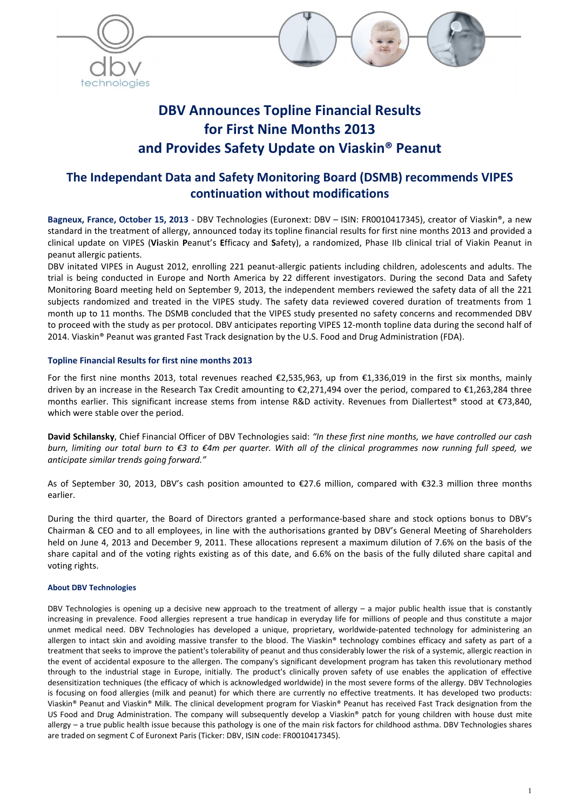



 $\Box$ 

# The Independant Data and Safety Monitoring Board (DSMB) recommends VIPES continuation without modifications

Bagneux, France, October 15, 2013 - DBV Technologies (Euronext: DBV - ISIN: FR0010417345), creator of Viaskin®, a new standard in the treatment of allergy, announced today its topline financial results for first nine months 2013 and provided a clinical update on VIPES (Viaskin Peanut's Efficacy and Safety), a randomized, Phase IIb clinical trial of Viakin Peanut in peanut allergic patients.

DBV initated VIPES in August 2012, enrolling 221 peanut-allergic patients including children, adolescents and adults. The trial is being conducted in Europe and North America by 22 different investigators. During the second Data and Safety Monitoring Board meeting held on September 9, 2013, the independent members reviewed the safety data of all the 221 subjects randomized and treated in the VIPES study. The safety data reviewed covered duration of treatments from 1 month up to 11 months. The DSMB concluded that the VIPES study presented no safety concerns and recommended DBV to proceed with the study as per protocol. DBV anticipates reporting VIPES 12-month topline data during the second half of 2014. Viaskin® Peanut was granted Fast Track designation by the U.S. Food and Drug Administration (FDA).

# Topline Financial Results for first nine months 2013

For the first nine months 2013, total revenues reached  $\epsilon$ 2,535,963, up from  $\epsilon$ 1,336,019 in the first six months, mainly driven by an increase in the Research Tax Credit amounting to €2,271,494 over the period, compared to €1,263,284 three months earlier. This significant increase stems from intense R&D activity. Revenues from Diallertest® stood at €73,840, which were stable over the period.

David Schilansky, Chief Financial Officer of DBV Technologies said: *"In these first nine months, we have controlled our cash burn, limiting our total burn to €3 to €4m per quarter. With all of the clinical programmes now running full speed, we anticipate similar trends going forward."*

As of September 30, 2013, DBV's cash position amounted to €27.6 million, compared with €32.3 million three months earlier.

During the third quarter, the Board of Directors granted a performance-based share and stock options bonus to DBV's Chairman & CEO and to all employees, in line with the authorisations granted by DBV's General Meeting of Shareholders held on June 4, 2013 and December 9, 2011. These allocations represent a maximum dilution of 7.6% on the basis of the share capital and of the voting rights existing as of this date, and 6.6% on the basis of the fully diluted share capital and voting rights.

## About DBV Technologies

DBV Technologies is opening up a decisive new approach to the treatment of allergy – a major public health issue that is constantly increasing in prevalence. Food allergies represent a true handicap in everyday life for millions of people and thus constitute a major unmet medical need. DBV Technologies has developed a unique, proprietary, worldwide-patented technology for administering an allergen to intact skin and avoiding massive transfer to the blood. The Viaskin® technology combines efficacy and safety as part of a treatment that seeks to improve the patient's tolerability of peanut and thus considerably lower the risk of a systemic, allergic reaction in the event of accidental exposure to the allergen. The company's significant development program has taken this revolutionary method through to the industrial stage in Europe, initially. The product's clinically proven safety of use enables the application of effective desensitization techniques (the efficacy of which is acknowledged worldwide) in the most severe forms of the allergy. DBV Technologies is focusing on food allergies (milk and peanut) for which there are currently no effective treatments. It has developed two products: Viaskin® Peanut and Viaskin® Milk. The clinical development program for Viaskin® Peanut has received Fast Track designation from the US Food and Drug Administration. The company will subsequently develop a Viaskin® patch for young children with house dust mite allergy – a true public health issue because this pathology is one of the main risk factors for childhood asthma. DBV Technologies shares are traded on segment C of Euronext Paris (Ticker: DBV, ISIN code: FR0010417345).